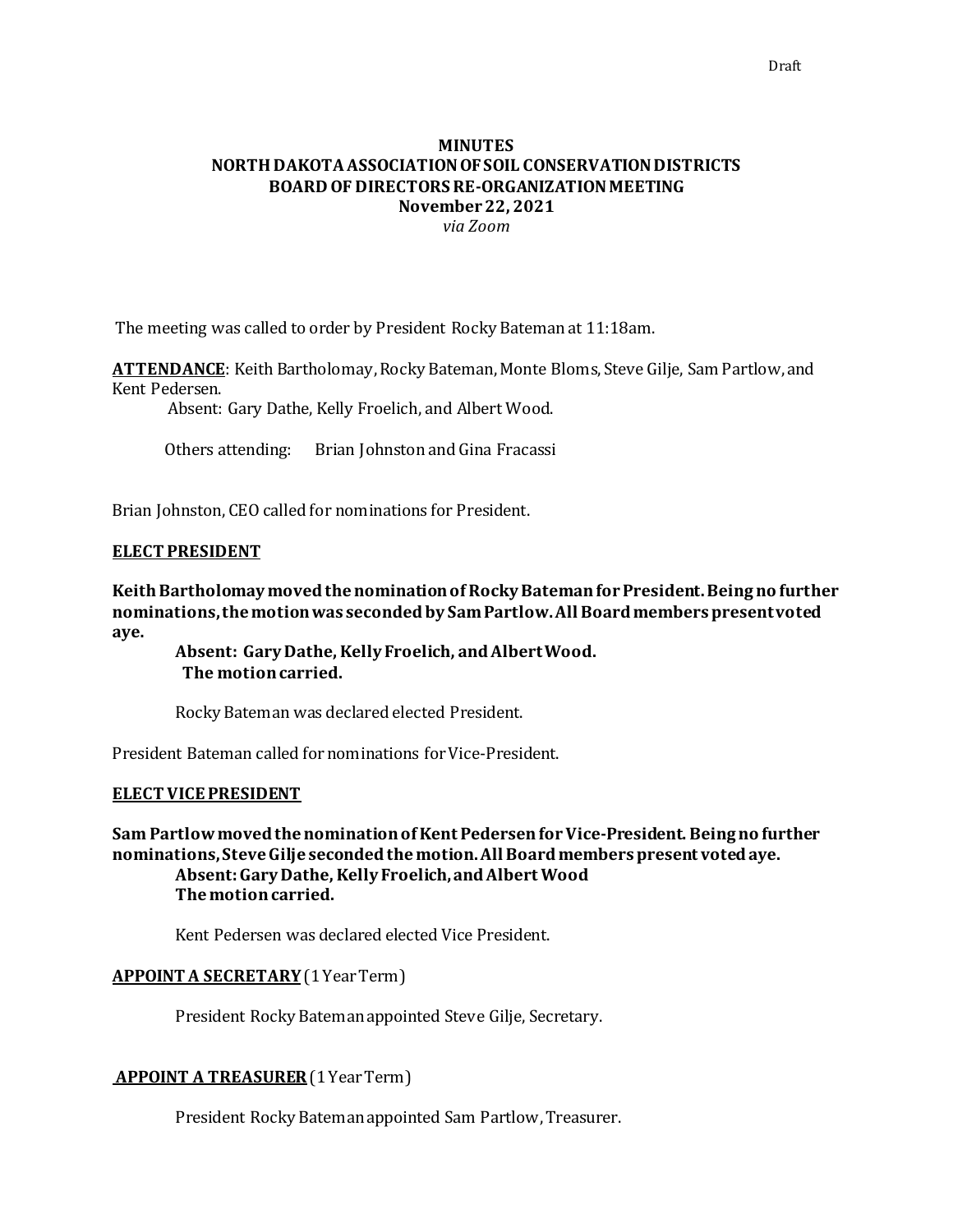# **MINUTES NORTH DAKOTA ASSOCIATION OF SOIL CONSERVATION DISTRICTS BOARD OF DIRECTORS RE-ORGANIZATION MEETING November 22, 2021** *via Zoom*

The meeting was called to order by President Rocky Batemanat 11:18am.

**ATTENDANCE**: Keith Bartholomay, Rocky Bateman, Monte Bloms, Steve Gilje, Sam Partlow, and Kent Pedersen.

Absent: Gary Dathe, Kelly Froelich, and Albert Wood.

Others attending: Brian Johnston and Gina Fracassi

Brian Johnston, CEO called for nominations for President.

#### **ELECT PRESIDENT**

**Keith Bartholomay moved the nomination of Rocky Batemanfor President. Being no further nominations,the motion was seconded by Sam Partlow.All Board members present voted aye.**

**Absent: Gary Dathe, Kelly Froelich, andAlbert Wood. The motion carried.**

Rocky Bateman was declared elected President.

President Bateman called for nominations for Vice-President.

### **ELECT VICE PRESIDENT**

**Sam Partlowmoved the nomination of Kent Pedersenfor Vice-President. Being no further nominations,Steve Gilje seconded the motion. All Board members present voted aye. Absent:Gary Dathe, Kelly Froelich,andAlbert Wood Themotion carried.** 

Kent Pedersen was declared elected Vice President.

#### **APPOINT A SECRETARY**(1 Year Term)

President Rocky Batemanappointed Steve Gilje, Secretary.

### **APPOINT A TREASURER**(1 Year Term)

President Rocky Batemanappointed Sam Partlow, Treasurer.